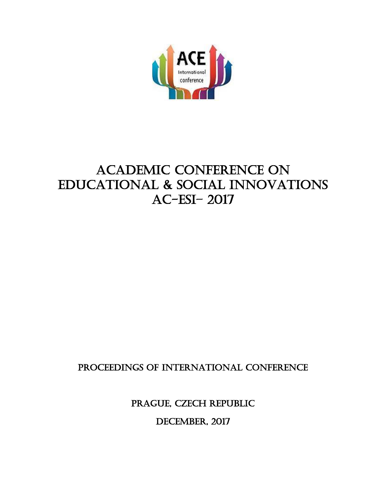

# Academic Conference on Educational & Social Innovations AC-ESI– 2017

# PROCEEDINGS OF INTERNATIONAL CONFERENCE

PRAGUE, CZECH REPUBLIC

DECEMBER, 2017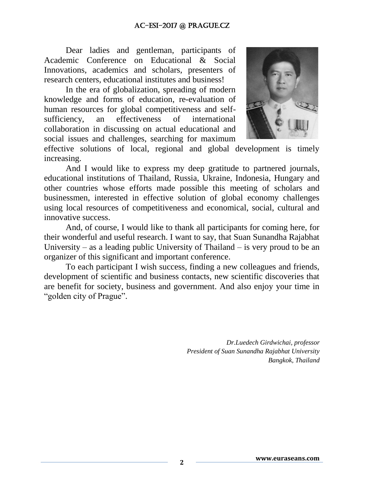Dear ladies and gentleman, participants of Academic Conference on Educational & Social Innovations, academics and scholars, presenters of research centers, educational institutes and business!

In the era of globalization, spreading of modern knowledge and forms of education, re-evaluation of human resources for global competitiveness and selfsufficiency, an effectiveness of international collaboration in discussing on actual educational and social issues and challenges, searching for maximum



effective solutions of local, regional and global development is timely increasing.

And I would like to express my deep gratitude to partnered journals, educational institutions of Thailand, Russia, Ukraine, Indonesia, Hungary and other countries whose efforts made possible this meeting of scholars and businessmen, interested in effective solution of global economy challenges using local resources of competitiveness and economical, social, cultural and innovative success.

And, of course, I would like to thank all participants for coming here, for their wonderful and useful research. I want to say, that Suan Sunandha Rajabhat University – as a leading public University of Thailand – is very proud to be an organizer of this significant and important conference.

To each participant I wish success, finding a new colleagues and friends, development of scientific and business contacts, new scientific discoveries that are benefit for society, business and government. And also enjoy your time in "golden city of Prague".

> *Dr.Luedech Girdwichai, professor President of Suan Sunandha Rajabhat University Bangkok, Thailand*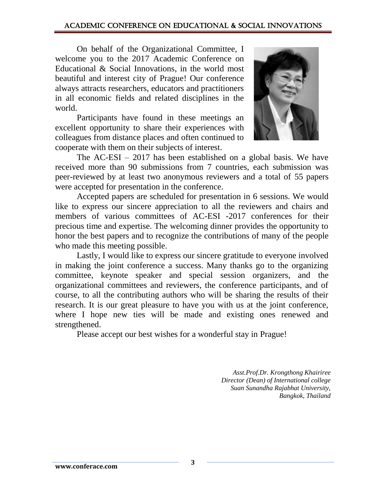On behalf of the Organizational Committee, I welcome you to the 2017 Academic Conference on Educational & Social Innovations, in the world most beautiful and interest city of Prague! Our conference always attracts researchers, educators and practitioners in all economic fields and related disciplines in the world.

Participants have found in these meetings an excellent opportunity to share their experiences with colleagues from distance places and often continued to cooperate with them on their subjects of interest.



The AC-ESI – 2017 has been established on a global basis. We have received more than 90 submissions from 7 countries, each submission was peer-reviewed by at least two anonymous reviewers and a total of 55 papers were accepted for presentation in the conference.

Accepted papers are scheduled for presentation in 6 sessions. We would like to express our sincere appreciation to all the reviewers and chairs and members of various committees of AC-ESI -2017 conferences for their precious time and expertise. The welcoming dinner provides the opportunity to honor the best papers and to recognize the contributions of many of the people who made this meeting possible.

Lastly, I would like to express our sincere gratitude to everyone involved in making the joint conference a success. Many thanks go to the organizing committee, keynote speaker and special session organizers, and the organizational committees and reviewers, the conference participants, and of course, to all the contributing authors who will be sharing the results of their research. It is our great pleasure to have you with us at the joint conference, where I hope new ties will be made and existing ones renewed and strengthened.

Please accept our best wishes for a wonderful stay in Prague!

*Asst.Prof.Dr. Krongthong Khairiree Director (Dean) of International college Suan Sunandha Rajabhat University, Bangkok, Thailand*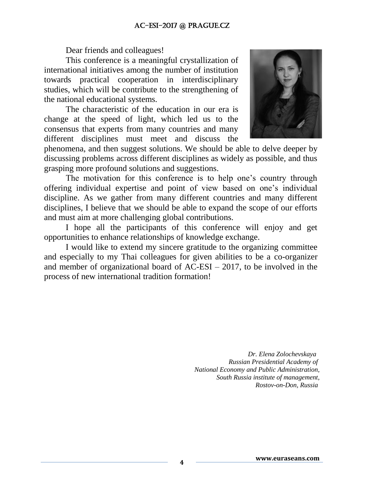Dear friends and colleagues!

This conference is a meaningful crystallization of international initiatives among the number of institution towards practical cooperation in interdisciplinary studies, which will be contribute to the strengthening of the national educational systems.

The characteristic of the education in our era is change at the speed of light, which led us to the consensus that experts from many countries and many different disciplines must meet and discuss the



phenomena, and then suggest solutions. We should be able to delve deeper by discussing problems across different disciplines as widely as possible, and thus grasping more profound solutions and suggestions.

The motivation for this conference is to help one's country through offering individual expertise and point of view based on one's individual discipline. As we gather from many different countries and many different disciplines, I believe that we should be able to expand the scope of our efforts and must aim at more challenging global contributions.

I hope all the participants of this conference will enjoy and get opportunities to enhance relationships of knowledge exchange.

I would like to extend my sincere gratitude to the organizing committee and especially to my Thai colleagues for given abilities to be a co-organizer and member of organizational board of  $AC-ESI - 2017$ , to be involved in the process of new international tradition formation!

> *Dr. Elena Zolochevskaya Russian Presidential Academy of National Economy and Public Administration, South Russia institute of management, Rostov-on-Don, Russia*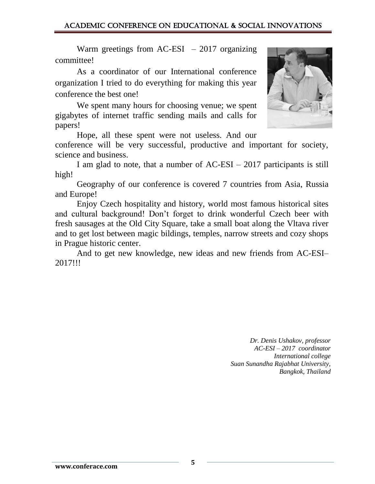Warm greetings from  $AC-ESI - 2017$  organizing committee!

As a coordinator of our International conference organization I tried to do everything for making this year conference the best one!

We spent many hours for choosing venue; we spent gigabytes of internet traffic sending mails and calls for papers!

Hope, all these spent were not useless. And our

conference will be very successful, productive and important for society, science and business.

I am glad to note, that a number of AC-ESI – 2017 participants is still high!

Geography of our conference is covered 7 countries from Asia, Russia and Europe!

Enjoy Czech hospitality and history, world most famous historical sites and cultural background! Don't forget to drink wonderful Czech beer with fresh sausages at the Old City Square, take a small boat along the Vltava river and to get lost between magic bildings, temples, narrow streets and cozy shops in Prague historic center.

And to get new knowledge, new ideas and new friends from AC-ESI– 2017!!!

> *Dr. Denis Ushakov, professor AC-ESI – 2017 coordinator International college Suan Sunandha Rajabhat University, Bangkok, Thailand*



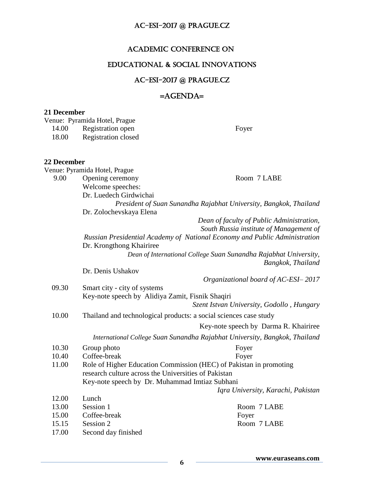### Academic Conference on

# Educational & Social Innovations

# AC-ESI-2017 @ PRAGUE.CZ

## =AGENDA=

#### **21 December**

Venue: Pyramida Hotel, Prague

| 14.00       | Registration open                                                 | Foyer                                                                      |  |
|-------------|-------------------------------------------------------------------|----------------------------------------------------------------------------|--|
| 18.00       | <b>Registration closed</b>                                        |                                                                            |  |
|             |                                                                   |                                                                            |  |
| 22 December |                                                                   |                                                                            |  |
|             | Venue: Pyramida Hotel, Prague                                     |                                                                            |  |
| 9.00        | Opening ceremony                                                  | Room 7 LABE                                                                |  |
|             | Welcome speeches:                                                 |                                                                            |  |
|             | Dr. Luedech Girdwichai                                            |                                                                            |  |
|             | President of Suan Sunandha Rajabhat University, Bangkok, Thailand |                                                                            |  |
|             | Dr. Zolochevskaya Elena                                           |                                                                            |  |
|             |                                                                   | Dean of faculty of Public Administration,                                  |  |
|             |                                                                   | South Russia institute of Management of                                    |  |
|             |                                                                   | Russian Presidential Academy of National Economy and Public Administration |  |
|             | Dr. Krongthong Khairiree                                          |                                                                            |  |
|             |                                                                   | Dean of International College Suan Sunandha Rajabhat University,           |  |
|             |                                                                   | Bangkok, Thailand                                                          |  |
|             | Dr. Denis Ushakov                                                 |                                                                            |  |
|             |                                                                   | Organizational board of AC-ESI-2017                                        |  |
| 09.30       | Smart city - city of systems                                      |                                                                            |  |
|             | Key-note speech by Alidiya Zamit, Fisnik Shaqiri                  |                                                                            |  |
|             |                                                                   | Szent Istvan University, Godollo, Hungary                                  |  |
| 10.00       |                                                                   | Thailand and technological products: a social sciences case study          |  |
|             |                                                                   | Key-note speech by Darma R. Khairiree                                      |  |
|             |                                                                   | International College Suan Sunandha Rajabhat University, Bangkok, Thailand |  |
| 10.30       | Group photo                                                       | Foyer                                                                      |  |
| 10.40       | Coffee-break                                                      | Foyer                                                                      |  |
| 11.00       |                                                                   | Role of Higher Education Commission (HEC) of Pakistan in promoting         |  |
|             | research culture across the Universities of Pakistan              |                                                                            |  |
|             | Key-note speech by Dr. Muhammad Imtiaz Subhani                    |                                                                            |  |
|             |                                                                   | Iqra University, Karachi, Pakistan                                         |  |
| 12.00       | Lunch                                                             |                                                                            |  |
| 13.00       | Session 1                                                         | Room 7 LABE                                                                |  |
| 15.00       | Coffee-break                                                      | Foyer                                                                      |  |
| 15.15       | Session 2                                                         | Room 7 LABE                                                                |  |
| 17.00       | Second day finished                                               |                                                                            |  |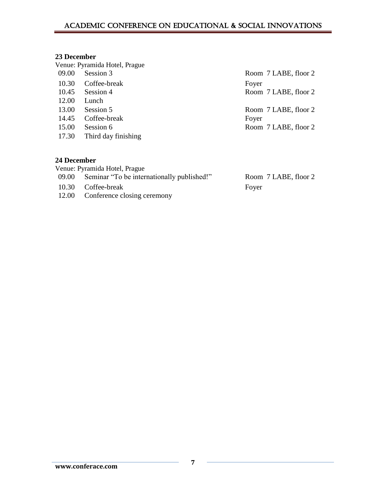# Academic Conference on Educational & Social Innovations

#### **23 December**

|                    | Venue: Pyramida Hotel, Prague |                      |
|--------------------|-------------------------------|----------------------|
| 09.00              | Session 3                     | Room 7 LABE, floor 2 |
| 10.30              | Coffee-break                  | Foyer                |
| 10.45              | Session 4                     | Room 7 LABE, floor 2 |
| 12.00              | Lunch                         |                      |
| 13.00              | Session 5                     | Room 7 LABE, floor 2 |
| 14.45              | Coffee-break                  | Foyer                |
| 15.00              | Session 6                     | Room 7 LABE, floor 2 |
| 17.30              | Third day finishing           |                      |
| <b>24 December</b> |                               |                      |
|                    | Venue: Pyramida Hotel, Prague |                      |

| $\frac{1}{2}$ chuc. I $\frac{1}{2}$ in a find the figure |                      |
|----------------------------------------------------------|----------------------|
| 09.00 Seminar "To be internationally published!"         | Room 7 LABE, floor 2 |
| 10.30 Coffee-break                                       | Fover                |
| 12.00 Conference closing ceremony                        |                      |
|                                                          |                      |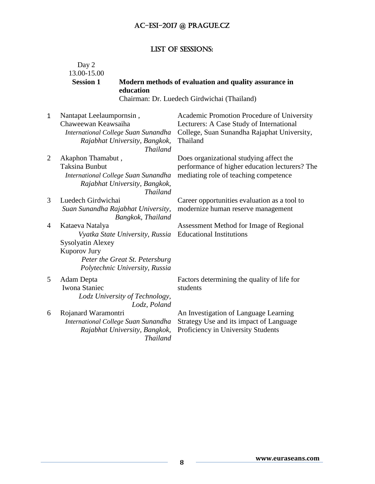## List of SESSIONS:

|                | Day 2<br>13.00-15.00<br><b>Session 1</b><br>education                                                                                                              | Modern methods of evaluation and quality assurance in                                                                                             |
|----------------|--------------------------------------------------------------------------------------------------------------------------------------------------------------------|---------------------------------------------------------------------------------------------------------------------------------------------------|
|                |                                                                                                                                                                    | Chairman: Dr. Luedech Girdwichai (Thailand)                                                                                                       |
| $\mathbf{1}$   | Nantapat Leelaumpornsin,<br>Chaweewan Keawsaiha<br>International College Suan Sunandha<br>Rajabhat University, Bangkok,<br><b>Thailand</b>                         | Academic Promotion Procedure of University<br>Lecturers: A Case Study of International<br>College, Suan Sunandha Rajaphat University,<br>Thailand |
| $\overline{2}$ | Akaphon Thamabut,<br><b>Taksina Bunbut</b><br>International College Suan Sunandha<br>Rajabhat University, Bangkok,<br><b>Thailand</b>                              | Does organizational studying affect the<br>performance of higher education lecturers? The<br>mediating role of teaching competence                |
| 3              | Luedech Girdwichai<br>Suan Sunandha Rajabhat University,<br>Bangkok, Thailand                                                                                      | Career opportunities evaluation as a tool to<br>modernize human reserve management                                                                |
| 4              | Kataeva Natalya<br>Vyatka State University, Russia<br><b>Sysolyatin Alexey</b><br>Kuporov Jury<br>Peter the Great St. Petersburg<br>Polytechnic University, Russia | Assessment Method for Image of Regional<br><b>Educational Institutions</b>                                                                        |
| 5              | Adam Depta<br><b>Iwona Staniec</b><br>Lodz University of Technology,<br>Lodz, Poland                                                                               | Factors determining the quality of life for<br>students                                                                                           |
| 6              | Rojanard Waramontri<br>International College Suan Sunandha<br>Rajabhat University, Bangkok,<br><b>Thailand</b>                                                     | An Investigation of Language Learning<br>Strategy Use and its impact of Language<br>Proficiency in University Students                            |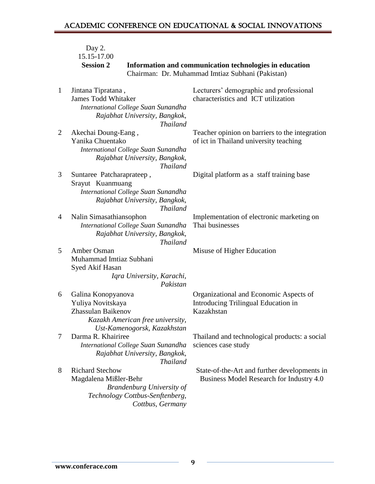|              | Day 2.<br>15.15-17.00                                                                                                                       |                                                                                                             |
|--------------|---------------------------------------------------------------------------------------------------------------------------------------------|-------------------------------------------------------------------------------------------------------------|
|              | <b>Session 2</b>                                                                                                                            | Information and communication technologies in education<br>Chairman: Dr. Muhammad Imtiaz Subhani (Pakistan) |
| $\mathbf{1}$ | Jintana Tipratana,<br><b>James Todd Whitaker</b><br>International College Suan Sunandha<br>Rajabhat University, Bangkok,<br><b>Thailand</b> | Lecturers' demographic and professional<br>characteristics and ICT utilization                              |
| 2            | Akechai Doung-Eang,<br>Yanika Chuentako<br>International College Suan Sunandha<br>Rajabhat University, Bangkok,<br><b>Thailand</b>          | Teacher opinion on barriers to the integration<br>of ict in Thailand university teaching                    |
| 3            | Suntaree Patcharaprateep,<br>Srayut Kuanmuang<br>International College Suan Sunandha<br>Rajabhat University, Bangkok,<br><b>Thailand</b>    | Digital platform as a staff training base                                                                   |
| 4            | Nalin Simasathiansophon<br>International College Suan Sunandha<br>Rajabhat University, Bangkok,<br><b>Thailand</b>                          | Implementation of electronic marketing on<br>Thai businesses                                                |
| 5            | Amber Osman<br>Muhammad Imtiaz Subhani<br>Syed Akif Hasan<br>Iqra University, Karachi,<br>Pakistan                                          | Misuse of Higher Education                                                                                  |
| 6            | Galina Konopyanova<br>Yuliya Novitskaya<br>Zhassulan Baikenov<br>Kazakh American free university,<br>Ust-Kamenogorsk, Kazakhstan            | Organizational and Economic Aspects of<br>Introducing Trilingual Education in<br>Kazakhstan                 |
| 7            | Darma R. Khairiree<br>International College Suan Sunandha<br>Rajabhat University, Bangkok,<br><b>Thailand</b>                               | Thailand and technological products: a social<br>sciences case study                                        |
| 8            | <b>Richard Stechow</b><br>Magdalena Mißler-Behr<br><b>Brandenburg University of</b><br>Technology Cottbus-Senftenberg,<br>Cottbus, Germany  | State-of-the-Art and further developments in<br>Business Model Research for Industry 4.0                    |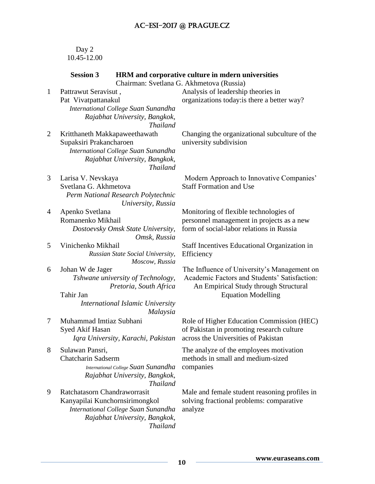#### Day 2 10.45-12.00

|              | <b>Session 3</b>                                                                                                                                          | HRM and corporative culture in mdern universities<br>Chairman: Svetlana G. Akhmetova (Russia)                                                                     |
|--------------|-----------------------------------------------------------------------------------------------------------------------------------------------------------|-------------------------------------------------------------------------------------------------------------------------------------------------------------------|
| $\mathbf{1}$ | Pattrawut Seravisut,<br>Pat Vivatpattanakul<br>International College Suan Sunandha<br>Rajabhat University, Bangkok,<br><b>Thailand</b>                    | Analysis of leadership theories in<br>organizations today: is there a better way?                                                                                 |
| 2            | Kritthaneth Makkapaweethawath<br>Supaksiri Prakancharoen<br>International College Suan Sunandha<br>Rajabhat University, Bangkok,<br><b>Thailand</b>       | Changing the organizational subculture of the<br>university subdivision                                                                                           |
| 3            | Larisa V. Nevskaya<br>Svetlana G. Akhmetova<br>Perm National Research Polytechnic<br>University, Russia                                                   | Modern Approach to Innovative Companies'<br><b>Staff Formation and Use</b>                                                                                        |
| 4            | Apenko Svetlana<br>Romanenko Mikhail<br>Dostoevsky Omsk State University,<br>Omsk, Russia                                                                 | Monitoring of flexible technologies of<br>personnel management in projects as a new<br>form of social-labor relations in Russia                                   |
| 5            | Vinichenko Mikhail<br>Russian State Social University,<br>Moscow, Russia                                                                                  | Staff Incentives Educational Organization in<br>Efficiency                                                                                                        |
| 6            | Johan W de Jager<br>Tshwane university of Technology,<br>Pretoria, South Africa<br>Tahir Jan<br>International Islamic University<br>Malaysia              | The Influence of University's Management on<br>Academic Factors and Students' Satisfaction:<br>An Empirical Study through Structural<br><b>Equation Modelling</b> |
| 7            | Muhammad Imtiaz Subhani<br>Syed Akif Hasan<br>Iqra University, Karachi, Pakistan                                                                          | Role of Higher Education Commission (HEC)<br>of Pakistan in promoting research culture<br>across the Universities of Pakistan                                     |
| 8            | Sulawan Pansri,<br><b>Chatcharin Sadserm</b><br>International College Suan Sunandha<br>Rajabhat University, Bangkok,<br><b>Thailand</b>                   | The analyze of the employees motivation<br>methods in small and medium-sized<br>companies                                                                         |
| 9            | Ratchatasorn Chandraworrasit<br>Kanyapilai Kunchornsirimongkol<br>International College Suan Sunandha<br>Rajabhat University, Bangkok,<br><b>Thailand</b> | Male and female student reasoning profiles in<br>solving fractional problems: comparative<br>analyze                                                              |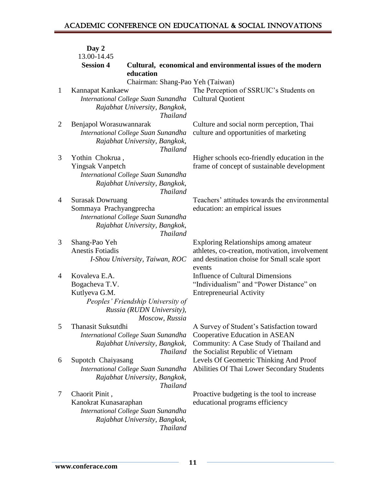|              | Day 2                                                                                   |                                                             |
|--------------|-----------------------------------------------------------------------------------------|-------------------------------------------------------------|
|              | 13.00-14.45                                                                             |                                                             |
|              | <b>Session 4</b><br>education                                                           | Cultural, economical and environmental issues of the modern |
|              | Chairman: Shang-Pao Yeh (Taiwan)                                                        |                                                             |
| $\mathbf{1}$ | Kannapat Kankaew                                                                        | The Perception of SSRUIC's Students on                      |
|              | International College Suan Sunandha                                                     | <b>Cultural Quotient</b>                                    |
|              | Rajabhat University, Bangkok,<br><b>Thailand</b>                                        |                                                             |
| 2            | Benjapol Worasuwannarak                                                                 | Culture and social norm perception, Thai                    |
|              | International College Suan Sunandha<br>Rajabhat University, Bangkok,<br><b>Thailand</b> | culture and opportunities of marketing                      |
| 3            | Yothin Chokrua,                                                                         | Higher schools eco-friendly education in the                |
|              | <b>Yingsak Vanpetch</b>                                                                 | frame of concept of sustainable development                 |
|              | International College Suan Sunandha                                                     |                                                             |
|              | Rajabhat University, Bangkok,<br><b>Thailand</b>                                        |                                                             |
| 4            | <b>Surasak Dowruang</b>                                                                 | Teachers' attitudes towards the environmental               |
|              | Sommaya Prachyangprecha                                                                 | education: an empirical issues                              |
|              | International College Suan Sunandha                                                     |                                                             |
|              | Rajabhat University, Bangkok,<br><b>Thailand</b>                                        |                                                             |
| 3            | Shang-Pao Yeh                                                                           | <b>Exploring Relationships among amateur</b>                |
|              | <b>Anestis Fotiadis</b>                                                                 | athletes, co-creation, motivation, involvement              |
|              | I-Shou University, Taiwan, ROC                                                          | and destination choise for Small scale sport<br>events      |
| 4            | Kovaleva E.A.                                                                           | <b>Influence of Cultural Dimensions</b>                     |
|              | Bogacheva T.V.                                                                          | "Individualism" and "Power Distance" on                     |
|              | Kutlyeva G.M.                                                                           | <b>Entrepreneurial Activity</b>                             |
|              | Peoples' Friendship University of                                                       |                                                             |
|              | Russia (RUDN University),<br>Moscow, Russia                                             |                                                             |
| 5            | Thanasit Suksutdhi                                                                      | A Survey of Student's Satisfaction toward                   |
|              | International College Suan Sunandha                                                     | Cooperative Education in ASEAN                              |
|              | Rajabhat University, Bangkok,                                                           | Community: A Case Study of Thailand and                     |
|              | <b>Thailand</b>                                                                         | the Socialist Republic of Vietnam                           |
| 6            | Supotch Chaiyasang                                                                      | Levels Of Geometric Thinking And Proof                      |
|              | International College Suan Sunandha<br>Rajabhat University, Bangkok,                    | Abilities Of Thai Lower Secondary Students                  |
|              | <b>Thailand</b>                                                                         |                                                             |
| 7            | Chaorit Pinit,                                                                          | Proactive budgeting is the tool to increase                 |
|              | Kanokrat Kunasaraphan                                                                   | educational programs efficiency                             |
|              | International College Suan Sunandha                                                     |                                                             |
|              | Rajabhat University, Bangkok,                                                           |                                                             |
|              | <b>Thailand</b>                                                                         |                                                             |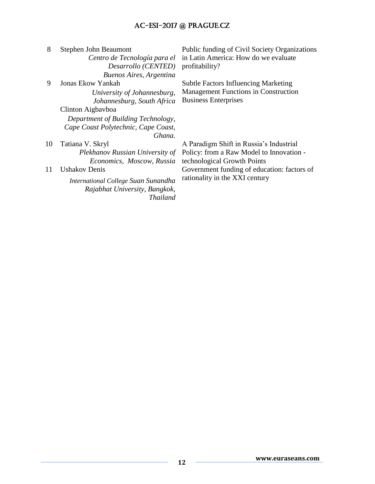| 8  | Stephen John Beaumont<br>Centro de Tecnología para el<br>Desarrollo (CENTED)<br>Buenos Aires, Argentina | Public funding of Civil Society Organizations<br>in Latin America: How do we evaluate<br>profitability? |
|----|---------------------------------------------------------------------------------------------------------|---------------------------------------------------------------------------------------------------------|
| 9  | Jonas Ekow Yankah                                                                                       | <b>Subtle Factors Influencing Marketing</b>                                                             |
|    | University of Johannesburg,                                                                             | <b>Management Functions in Construction</b>                                                             |
|    | Johannesburg, South Africa                                                                              | <b>Business Enterprises</b>                                                                             |
|    | Clinton Aigbayboa                                                                                       |                                                                                                         |
|    | Department of Building Technology,                                                                      |                                                                                                         |
|    | Cape Coast Polytechnic, Cape Coast,                                                                     |                                                                                                         |
|    | Ghana.                                                                                                  |                                                                                                         |
| 10 | Tatiana V. Skryl                                                                                        | A Paradigm Shift in Russia's Industrial                                                                 |
|    | Plekhanov Russian University of                                                                         | Policy: from a Raw Model to Innovation -                                                                |
|    | Economics, Moscow, Russia                                                                               | technological Growth Points                                                                             |
| 11 | Ushakov Denis                                                                                           | Government funding of education: factors of                                                             |
|    | International College Suan Sunandha<br>Rajabhat University, Bangkok,<br><b>Thailand</b>                 | rationality in the XXI century                                                                          |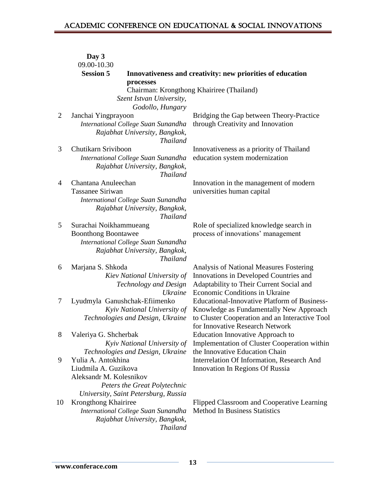| 09.00-10.30<br><b>Session 5</b><br>Innovativeness and creativity: new priorities of education<br>processes<br>Chairman: Krongthong Khairiree (Thailand)<br>Szent Istvan University,<br>Godollo, Hungary<br>$\overline{2}$<br>Bridging the Gap between Theory-Practice<br>Janchai Yingprayoon<br>International College Suan Sunandha<br>through Creativity and Innovation<br>Rajabhat University, Bangkok,<br><b>Thailand</b> |  |
|------------------------------------------------------------------------------------------------------------------------------------------------------------------------------------------------------------------------------------------------------------------------------------------------------------------------------------------------------------------------------------------------------------------------------|--|
|                                                                                                                                                                                                                                                                                                                                                                                                                              |  |
|                                                                                                                                                                                                                                                                                                                                                                                                                              |  |
|                                                                                                                                                                                                                                                                                                                                                                                                                              |  |
|                                                                                                                                                                                                                                                                                                                                                                                                                              |  |
|                                                                                                                                                                                                                                                                                                                                                                                                                              |  |
|                                                                                                                                                                                                                                                                                                                                                                                                                              |  |
|                                                                                                                                                                                                                                                                                                                                                                                                                              |  |
| 3<br>Chutikarn Sriviboon                                                                                                                                                                                                                                                                                                                                                                                                     |  |
| Innovativeness as a priority of Thailand<br>International College Suan Sunandha<br>education system modernization                                                                                                                                                                                                                                                                                                            |  |
| Rajabhat University, Bangkok,<br><b>Thailand</b>                                                                                                                                                                                                                                                                                                                                                                             |  |
| Chantana Anuleechan<br>Innovation in the management of modern<br>4                                                                                                                                                                                                                                                                                                                                                           |  |
| <b>Tassanee Siriwan</b><br>universities human capital                                                                                                                                                                                                                                                                                                                                                                        |  |
| International College Suan Sunandha                                                                                                                                                                                                                                                                                                                                                                                          |  |
| Rajabhat University, Bangkok,                                                                                                                                                                                                                                                                                                                                                                                                |  |
| <b>Thailand</b>                                                                                                                                                                                                                                                                                                                                                                                                              |  |
| 5<br>Role of specialized knowledge search in<br>Surachai Noikhammueang                                                                                                                                                                                                                                                                                                                                                       |  |
| process of innovations' management<br><b>Boonthong Boontawee</b><br>International College Suan Sunandha                                                                                                                                                                                                                                                                                                                      |  |
| Rajabhat University, Bangkok,                                                                                                                                                                                                                                                                                                                                                                                                |  |
| <b>Thailand</b>                                                                                                                                                                                                                                                                                                                                                                                                              |  |
| <b>Analysis of National Measures Fostering</b><br>Marjana S. Shkoda<br>6                                                                                                                                                                                                                                                                                                                                                     |  |
| Innovations in Developed Countries and<br>Kiev National University of                                                                                                                                                                                                                                                                                                                                                        |  |
| Adaptability to Their Current Social and<br>Technology and Design                                                                                                                                                                                                                                                                                                                                                            |  |
| Economic Conditions in Ukraine<br><b>Ukraine</b>                                                                                                                                                                                                                                                                                                                                                                             |  |
| Educational-Innovative Platform of Business-<br>Lyudmyla Ganushchak-Efiimenko<br>7                                                                                                                                                                                                                                                                                                                                           |  |
| Kyiv National University of<br>Knowledge as Fundamentally New Approach                                                                                                                                                                                                                                                                                                                                                       |  |
| Technologies and Design, Ukraine<br>to Cluster Cooperation and an Interactive Tool<br>for Innovative Research Network                                                                                                                                                                                                                                                                                                        |  |
| 8<br>Valeriya G. Shcherbak<br>Education Innovative Approach to                                                                                                                                                                                                                                                                                                                                                               |  |
| Implementation of Cluster Cooperation within<br>Kyiv National University of                                                                                                                                                                                                                                                                                                                                                  |  |
| the Innovative Education Chain<br>Technologies and Design, Ukraine                                                                                                                                                                                                                                                                                                                                                           |  |
| Yulia A. Antokhina<br>9<br>Interrelation Of Information, Research And                                                                                                                                                                                                                                                                                                                                                        |  |
| Liudmila A. Guzikova<br>Innovation In Regions Of Russia                                                                                                                                                                                                                                                                                                                                                                      |  |
| Aleksandr M. Kolesnikov                                                                                                                                                                                                                                                                                                                                                                                                      |  |
| Peters the Great Polytechnic                                                                                                                                                                                                                                                                                                                                                                                                 |  |
| University, Saint Petersburg, Russia                                                                                                                                                                                                                                                                                                                                                                                         |  |
| Krongthong Khairiree<br>10<br>Flipped Classroom and Cooperative Learning                                                                                                                                                                                                                                                                                                                                                     |  |
| <b>Method In Business Statistics</b><br>International College Suan Sunandha                                                                                                                                                                                                                                                                                                                                                  |  |
| Rajabhat University, Bangkok,<br><b>Thailand</b>                                                                                                                                                                                                                                                                                                                                                                             |  |